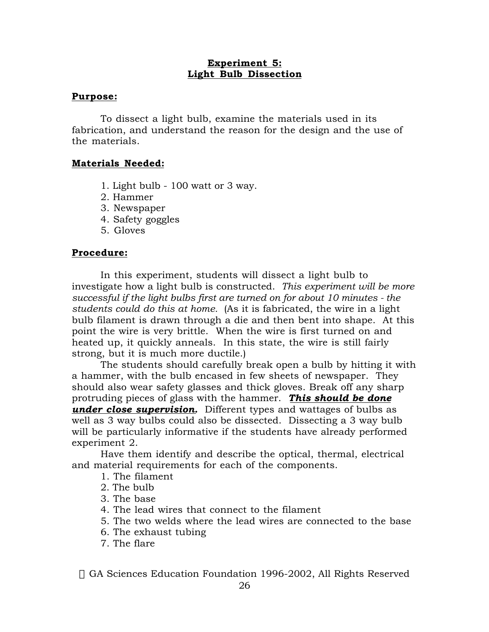#### **Experiment 5: Light Bulb Dissection**

#### **Purpose:**

To dissect a light bulb, examine the materials used in its fabrication, and understand the reason for the design and the use of the materials.

## **Materials Needed:**

- 1. Light bulb 100 watt or 3 way.
- 2. Hammer
- 3. Newspaper
- 4. Safety goggles
- 5. Gloves

## **Procedure:**

In this experiment, students will dissect a light bulb to investigate how a light bulb is constructed. *This experiment will be more successful if the light bulbs first are turned on for about 10 minutes - the students could do this at home.* (As it is fabricated, the wire in a light bulb filament is drawn through a die and then bent into shape. At this point the wire is very brittle. When the wire is first turned on and heated up, it quickly anneals. In this state, the wire is still fairly strong, but it is much more ductile.)

The students should carefully break open a bulb by hitting it with a hammer, with the bulb encased in few sheets of newspaper. They should also wear safety glasses and thick gloves. Break off any sharp protruding pieces of glass with the hammer. *This should be done under close supervision.* Different types and wattages of bulbs as well as 3 way bulbs could also be dissected. Dissecting a 3 way bulb will be particularly informative if the students have already performed experiment 2.

Have them identify and describe the optical, thermal, electrical and material requirements for each of the components.

1. The filament

- 2. The bulb
- 3. The base
- 4. The lead wires that connect to the filament
- 5. The two welds where the lead wires are connected to the base
- 6. The exhaust tubing
- 7. The flare

© GA Sciences Education Foundation 1996-2002, All Rights Reserved